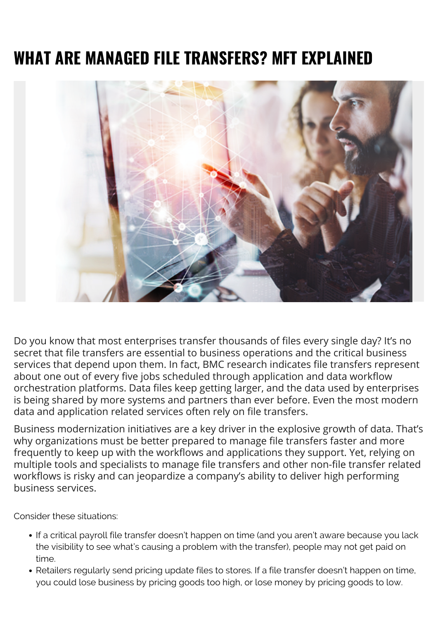# **WHAT ARE MANAGED FILE TRANSFERS? MFT EXPLAINED**



Do you know that most enterprises transfer thousands of files every single day? It's no secret that file transfers are essential to business operations and the critical business services that depend upon them. In fact, BMC research indicates file transfers represent about one out of every five jobs scheduled through application and data workflow orchestration platforms. Data files keep getting larger, and the data used by enterprises is being shared by more systems and partners than ever before. Even the most modern data and application related services often rely on file transfers.

Business modernization initiatives are a key driver in the explosive growth of data. That's why organizations must be better prepared to manage file transfers faster and more frequently to keep up with the workflows and applications they support. Yet, relying on multiple tools and specialists to manage file transfers and other non-file transfer related workflows is risky and can jeopardize a company's ability to deliver high performing business services.

Consider these situations:

- If a critical payroll file transfer doesn't happen on time (and you aren't aware because you lack the visibility to see what's causing a problem with the transfer), people may not get paid on time.
- Retailers regularly send pricing update files to stores. If a file transfer doesn't happen on time, you could lose business by pricing goods too high, or lose money by pricing goods to low.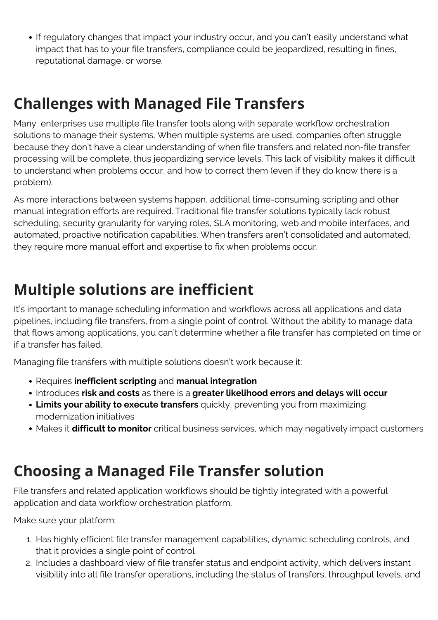If regulatory changes that impact your industry occur, and you can't easily understand what impact that has to your file transfers, compliance could be jeopardized, resulting in fines, reputational damage, or worse.

#### **Challenges with Managed File Transfers**

Many enterprises use multiple file transfer tools along with separate workflow orchestration solutions to manage their systems. When multiple systems are used, companies often struggle because they don't have a clear understanding of when file transfers and related non-file transfer processing will be complete, thus jeopardizing service levels. This lack of visibility makes it difficult to understand when problems occur, and how to correct them (even if they do know there is a problem).

As more interactions between systems happen, additional time-consuming scripting and other manual integration efforts are required. Traditional file transfer solutions typically lack robust scheduling, security granularity for varying roles, SLA monitoring, web and mobile interfaces, and automated, proactive notification capabilities. When transfers aren't consolidated and automated, they require more manual effort and expertise to fix when problems occur.

## **Multiple solutions are inefficient**

It's important to manage scheduling information and workflows across all applications and data pipelines, including file transfers, from a single point of control. Without the ability to manage data that flows among applications, you can't determine whether a file transfer has completed on time or if a transfer has failed.

Managing file transfers with multiple solutions doesn't work because it:

- Requires **inefficient scripting** and **manual integration**
- Introduces **risk and costs** as there is a **greater likelihood errors and delays will occur**
- **Limits your ability to execute transfers** quickly, preventing you from maximizing modernization initiatives
- Makes it **difficult to monitor** critical business services, which may negatively impact customers

## **Choosing a Managed File Transfer solution**

File transfers and related application workflows should be tightly integrated with a powerful application and data workflow orchestration platform.

Make sure your platform:

- 1. Has highly efficient file transfer management capabilities, dynamic scheduling controls, and that it provides a single point of control
- 2. Includes a dashboard view of file transfer status and endpoint activity, which delivers instant visibility into all file transfer operations, including the status of transfers, throughput levels, and